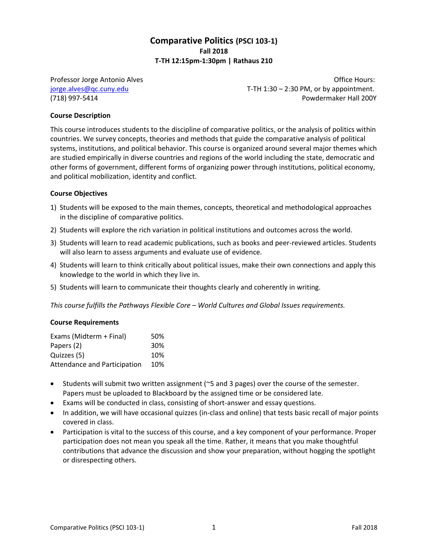# **Comparative Politics (PSCI 103-1) Fall 2018 T-TH 12:15pm-1:30pm | Rathaus 210**

Professor Jorge Antonio Alves **Discussion Access** Contract Access of Trumpers Access Office Hours: [jorge.alves@qc.cuny.edu](mailto:jorge.alves@qc.cuny.edu) T-TH 1:30 – 2:30 PM, or by appointment. (718) 997-5414 Powdermaker Hall 200Y

### **Course Description**

This course introduces students to the discipline of comparative politics, or the analysis of politics within countries. We survey concepts, theories and methods that guide the comparative analysis of political systems, institutions, and political behavior. This course is organized around several major themes which are studied empirically in diverse countries and regions of the world including the state, democratic and other forms of government, different forms of organizing power through institutions, political economy, and political mobilization, identity and conflict.

#### **Course Objectives**

- 1) Students will be exposed to the main themes, concepts, theoretical and methodological approaches in the discipline of comparative politics.
- 2) Students will explore the rich variation in political institutions and outcomes across the world.
- 3) Students will learn to read academic publications, such as books and peer-reviewed articles. Students will also learn to assess arguments and evaluate use of evidence.
- 4) Students will learn to think critically about political issues, make their own connections and apply this knowledge to the world in which they live in.
- 5) Students will learn to communicate their thoughts clearly and coherently in writing.

*This course fulfills the Pathways Flexible Core – World Cultures and Global Issues requirements.*

#### **Course Requirements**

| Exams (Midterm + Final)      | 50% |
|------------------------------|-----|
| Papers (2)                   | 30% |
| Quizzes (5)                  | 10% |
| Attendance and Participation | 10% |

- Students will submit two written assignment (~5 and 3 pages) over the course of the semester. Papers must be uploaded to Blackboard by the assigned time or be considered late.
- Exams will be conducted in class, consisting of short-answer and essay questions.
- In addition, we will have occasional quizzes (in-class and online) that tests basic recall of major points covered in class.
- Participation is vital to the success of this course, and a key component of your performance. Proper participation does not mean you speak all the time. Rather, it means that you make thoughtful contributions that advance the discussion and show your preparation, without hogging the spotlight or disrespecting others.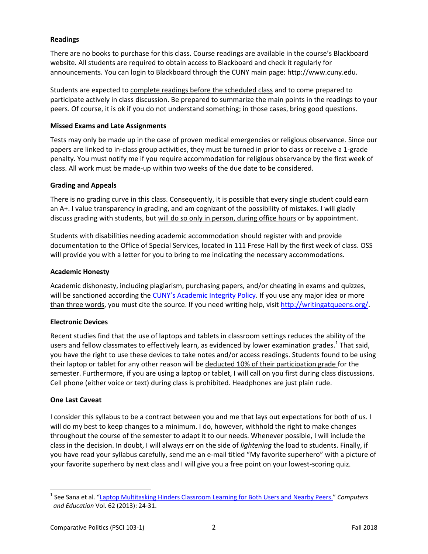# **Readings**

There are no books to purchase for this class. Course readings are available in the course's Blackboard website. All students are required to obtain access to Blackboard and check it regularly for announcements. You can login to Blackboard through the CUNY main page: http://www.cuny.edu.

Students are expected to complete readings before the scheduled class and to come prepared to participate actively in class discussion. Be prepared to summarize the main points in the readings to your peers*.* Of course, it is ok if you do not understand something; in those cases, bring good questions.

## **Missed Exams and Late Assignments**

Tests may only be made up in the case of proven medical emergencies or religious observance. Since our papers are linked to in-class group activities, they must be turned in prior to class or receive a 1-grade penalty. You must notify me if you require accommodation for religious observance by the first week of class. All work must be made-up within two weeks of the due date to be considered.

### **Grading and Appeals**

There is no grading curve in this class. Consequently, it is possible that every single student could earn an A+. I value transparency in grading, and am cognizant of the possibility of mistakes. I will gladly discuss grading with students, but will do so only in person, during office hours or by appointment.

Students with disabilities needing academic accommodation should register with and provide documentation to the Office of Special Services, located in 111 Frese Hall by the first week of class. OSS will provide you with a letter for you to bring to me indicating the necessary accommodations.

### **Academic Honesty**

Academic dishonesty, including plagiarism, purchasing papers, and/or cheating in exams and quizzes, will be sanctioned according the [CUNY's Academic Integrity Policy](https://www.cuny.edu/about/administration/offices/la/Academic_Integrity_Policy.pdf). If you use any major idea or more than three words, you must cite the source. If you need writing help, visit [http://writingatqueens.org/.](http://writingatqueens.org/)

# **Electronic Devices**

Recent studies find that the use of laptops and tablets in classroom settings reduces the ability of the users and fellow classmates to effectively learn, as evidenced by lower examination grades.<sup>1</sup> That said, you have the right to use these devices to take notes and/or access readings. Students found to be using their laptop or tablet for any other reason will be deducted 10% of their participation grade for the semester. Furthermore, if you are using a laptop or tablet, I will call on you first during class discussions. Cell phone (either voice or text) during class is prohibited. Headphones are just plain rude.

# **One Last Caveat**

 $\overline{\phantom{a}}$ 

I consider this syllabus to be a contract between you and me that lays out expectations for both of us. I will do my best to keep changes to a minimum. I do, however, withhold the right to make changes throughout the course of the semester to adapt it to our needs. Whenever possible, I will include the class in the decision. In doubt, I will always err on the side of *lightening* the load to students. Finally, if you have read your syllabus carefully, send me an e-mail titled "My favorite superhero" with a picture of your favorite superhero by next class and I will give you a free point on your lowest-scoring quiz.

<sup>&</sup>lt;sup>1</sup> See Sana et al. "[Laptop Multitasking Hinders Classroom Learning for Both Users and Nearby Peers.](http://www.sciencedirect.com/science/article/pii/S0360131512002254)" *Computers and Education* Vol. 62 (2013): 24-31.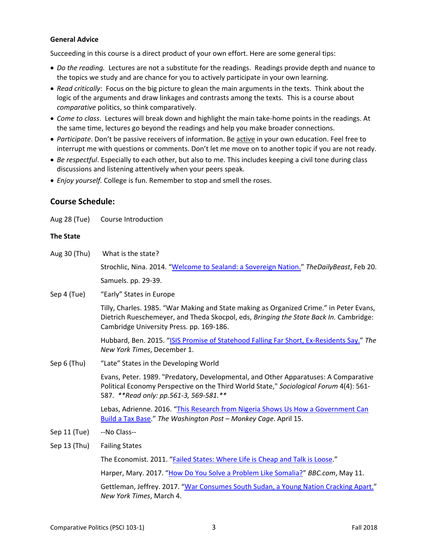### **General Advice**

Succeeding in this course is a direct product of your own effort. Here are some general tips:

- *Do the reading.* Lectures are not a substitute for the readings. Readings provide depth and nuance to the topics we study and are chance for you to actively participate in your own learning.
- *Read critically*: Focus on the big picture to glean the main arguments in the texts. Think about the logic of the arguments and draw linkages and contrasts among the texts. This is a course about *comparative* politics, so think comparatively.
- *Come to class*. Lectures will break down and highlight the main take-home points in the readings. At the same time, lectures go beyond the readings and help you make broader connections.
- *Participate*. Don't be passive receivers of information. Be active in your own education. Feel free to interrupt me with questions or comments. Don't let me move on to another topic if you are not ready.
- *Be respectful*. Especially to each other, but also to me. This includes keeping a civil tone during class discussions and listening attentively when your peers speak.
- *Enjoy yourself.* College is fun. Remember to stop and smell the roses.

# **Course Schedule:**

Aug 28 (Tue) Course Introduction

### **The State**

| Aug 30 (Thu) | What is the state?                                                                                                                                                                                                           |
|--------------|------------------------------------------------------------------------------------------------------------------------------------------------------------------------------------------------------------------------------|
|              | Strochlic, Nina. 2014. "Welcome to Sealand: a Sovereign Nation." The Daily Beast, Feb 20.                                                                                                                                    |
|              | Samuels. pp. 29-39.                                                                                                                                                                                                          |
| Sep 4 (Tue)  | "Early" States in Europe                                                                                                                                                                                                     |
|              | Tilly, Charles. 1985. "War Making and State making as Organized Crime." in Peter Evans,<br>Dietrich Rueschemeyer, and Theda Skocpol, eds, Bringing the State Back In. Cambridge:<br>Cambridge University Press. pp. 169-186. |
|              | Hubbard, Ben. 2015. "ISIS Promise of Statehood Falling Far Short, Ex-Residents Say." The<br>New York Times, December 1.                                                                                                      |
| Sep 6 (Thu)  | "Late" States in the Developing World                                                                                                                                                                                        |
|              | Evans, Peter. 1989. "Predatory, Developmental, and Other Apparatuses: A Comparative<br>Political Economy Perspective on the Third World State," Sociological Forum 4(4): 561-<br>587. **Read only: pp.561-3, 569-581.**      |
|              | Lebas, Adrienne. 2016. "This Research from Nigeria Shows Us How a Government Can<br>Build a Tax Base." The Washington Post - Monkey Cage. April 15.                                                                          |
| Sep 11 (Tue) | --No Class--                                                                                                                                                                                                                 |
| Sep 13 (Thu) | <b>Failing States</b>                                                                                                                                                                                                        |
|              | The Economist. 2011. "Failed States: Where Life is Cheap and Talk is Loose."                                                                                                                                                 |
|              | Harper, Mary. 2017. "How Do You Solve a Problem Like Somalia?" BBC.com, May 11.                                                                                                                                              |
|              | Gettleman, Jeffrey. 2017. "War Consumes South Sudan, a Young Nation Cracking Apart."<br>New York Times, March 4.                                                                                                             |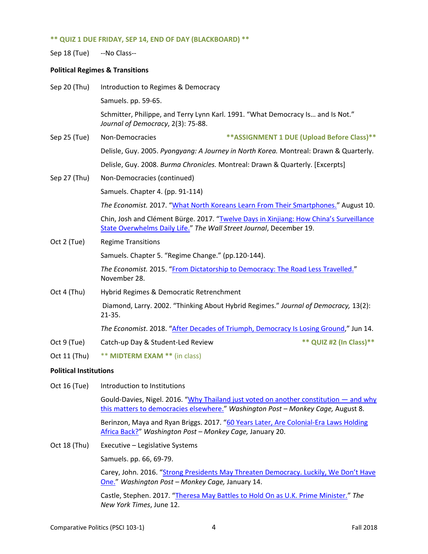#### **\*\* QUIZ 1 DUE FRIDAY, SEP 14, END OF DAY (BLACKBOARD) \*\***

Sep 18 (Tue) --No Class--

#### **Political Regimes & Transitions**

| Sep 20 (Thu) | Introduction to Regimes & Democracy                                                               |                                                                                        |  |
|--------------|---------------------------------------------------------------------------------------------------|----------------------------------------------------------------------------------------|--|
|              | Samuels. pp. 59-65.                                                                               |                                                                                        |  |
|              | Journal of Democracy, 2(3): 75-88.                                                                | Schmitter, Philippe, and Terry Lynn Karl. 1991. "What Democracy Is and Is Not."        |  |
| Sep 25 (Tue) | Non-Democracies                                                                                   | ** ASSIGNMENT 1 DUE (Upload Before Class)**                                            |  |
|              | Delisle, Guy. 2005. Pyongyang: A Journey in North Korea. Montreal: Drawn & Quarterly.             |                                                                                        |  |
|              | Delisle, Guy. 2008. Burma Chronicles. Montreal: Drawn & Quarterly. [Excerpts]                     |                                                                                        |  |
| Sep 27 (Thu) | Non-Democracies (continued)                                                                       |                                                                                        |  |
|              | Samuels. Chapter 4. (pp. 91-114)                                                                  |                                                                                        |  |
|              | The Economist. 2017. "What North Koreans Learn From Their Smartphones." August 10.                |                                                                                        |  |
|              | State Overwhelms Daily Life." The Wall Street Journal, December 19.                               | Chin, Josh and Clément Bürge. 2017. "Twelve Days in Xinjiang: How China's Surveillance |  |
| Oct 2 (Tue)  | <b>Regime Transitions</b>                                                                         |                                                                                        |  |
|              | Samuels. Chapter 5. "Regime Change." (pp.120-144).                                                |                                                                                        |  |
|              | November 28.                                                                                      | The Economist. 2015. "From Dictatorship to Democracy: The Road Less Travelled."        |  |
| Oct 4 (Thu)  | Hybrid Regimes & Democratic Retrenchment                                                          |                                                                                        |  |
|              | Diamond, Larry. 2002. "Thinking About Hybrid Regimes." Journal of Democracy, 13(2):<br>$21 - 35.$ |                                                                                        |  |
|              | The Economist. 2018. "After Decades of Triumph, Democracy Is Losing Ground," Jun 14.              |                                                                                        |  |
| Oct 9 (Tue)  | Catch-up Day & Student-Led Review                                                                 | ** QUIZ #2 (In Class)**                                                                |  |
| Oct 11 (Thu) | $**$ MIDTEDM EVAM $**$ (in close)                                                                 |                                                                                        |  |

Oct 11 (Thu) \*\* **MIDTERM EXAM \*\*** (in class)

## **Political Institutions**

Oct 16 (Tue) Introduction to Institutions

Gould-Davies, Nigel. 2016. "[Why Thailand just voted on another constitution](https://www.washingtonpost.com/news/monkey-cage/wp/2016/08/08/why-thailand-just-voted-on-another-constitution-and-why-this-matters-to-democracies-elsewhere/) - and why [this matters to democracies elsewhere.](https://www.washingtonpost.com/news/monkey-cage/wp/2016/08/08/why-thailand-just-voted-on-another-constitution-and-why-this-matters-to-democracies-elsewhere/)" *Washington Post – Monkey Cage,* August 8.

Berinzon, Maya and Ryan Briggs. 2017. "[60 Years Later, Are Colonial-Era Laws Holding](https://www.washingtonpost.com/news/monkey-cage/wp/2017/01/20/60-years-later-are-colonial-era-laws-holding-africa-back/)  [Africa Back?](https://www.washingtonpost.com/news/monkey-cage/wp/2017/01/20/60-years-later-are-colonial-era-laws-holding-africa-back/)" *Washington Post – Monkey Cage,* January 20.

Oct 18 (Thu) Executive – Legislative Systems

Samuels. pp. 66, 69-79.

Carey, John. 2016. ["Strong Presidents May Threaten Democracy. Luckily, We Don't Have](https://www.washingtonpost.com/news/in-theory/wp/2016/01/14/strong-presidencies-may-threaten-democracy-luckily-we-dont-have-one/)  [One.](https://www.washingtonpost.com/news/in-theory/wp/2016/01/14/strong-presidencies-may-threaten-democracy-luckily-we-dont-have-one/)" *Washington Post – Monkey Cage,* January 14.

Castle, Stephen. 2017. "[Theresa May Battles to Hold On as U.K. Prime Minister.](https://www.nytimes.com/2017/06/12/world/europe/uk-theresa-may-britain.html)" *The New York Times*, June 12.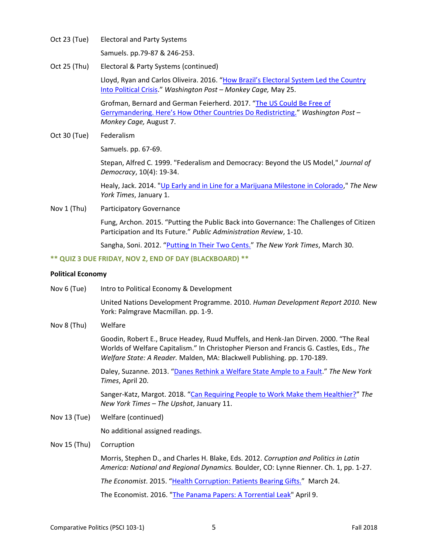Oct 23 (Tue) Electoral and Party Systems

Samuels. pp.79-87 & 246-253.

Oct 25 (Thu) Electoral & Party Systems (continued)

Lloyd, Ryan and Carlos Oliveira. 2016. "How Brazil's Electoral System Led the Country [Into Political Crisis](https://www.washingtonpost.com/news/monkey-cage/wp/2016/05/25/how-brazils-electoral-system-led-the-country-into-political-crisis/)." *Washington Post – Monkey Cage,* May 25.

Grofman, Bernard and German Feierherd. 2017. "[The US Could Be Free of](https://www.washingtonpost.com/news/monkey-cage/wp/2017/08/07/the-supreme-court-will-soon-consider-gerrymandering-heres-how-changes-in-redistricting-could-reduce-it/)  [Gerrymandering. Here's How Other Countries Do Redistricting."](https://www.washingtonpost.com/news/monkey-cage/wp/2017/08/07/the-supreme-court-will-soon-consider-gerrymandering-heres-how-changes-in-redistricting-could-reduce-it/) *Washington Post – Monkey Cage,* August 7.

Oct 30 (Tue) Federalism

Samuels. pp. 67-69.

Stepan, Alfred C. 1999. "Federalism and Democracy: Beyond the US Model," *Journal of Democracy*, 10(4): 19-34.

Healy, Jack. 2014. ["Up Early and in Line for a Marijuana Milestone in Colorado,](http://www.nytimes.com/2014/01/02/us/colorado-stores-throw-open-their-doors-to-pot-buyers.html)" *The New York Times*, January 1.

Nov 1 (Thu) Participatory Governance

Fung, Archon. 2015. "Putting the Public Back into Governance: The Challenges of Citizen Participation and Its Future." *Public Administration Review*, 1-10.

Sangha, Soni. 2012. "[Putting In Their Two Cents.](http://www.nytimes.com/2012/04/01/nyregion/for-some-new-yorkers-a-grand-experiment-in-participatory-budgeting.html)" *The New York Times*, March 30.

**\*\* QUIZ 3 DUE FRIDAY, NOV 2, END OF DAY (BLACKBOARD) \*\***

#### **Political Economy**

| Nov 6 (Tue)  | Intro to Political Economy & Development                                                                                                                                                                                                                  |
|--------------|-----------------------------------------------------------------------------------------------------------------------------------------------------------------------------------------------------------------------------------------------------------|
|              | United Nations Development Programme. 2010. Human Development Report 2010. New<br>York: Palmgrave Macmillan. pp. 1-9.                                                                                                                                     |
| Nov 8 (Thu)  | Welfare                                                                                                                                                                                                                                                   |
|              | Goodin, Robert E., Bruce Headey, Ruud Muffels, and Henk-Jan Dirven. 2000. "The Real<br>Worlds of Welfare Capitalism." In Christopher Pierson and Francis G. Castles, Eds., The<br>Welfare State: A Reader. Malden, MA: Blackwell Publishing. pp. 170-189. |
|              | Daley, Suzanne. 2013. "Danes Rethink a Welfare State Ample to a Fault." The New York<br>Times, April 20.                                                                                                                                                  |
|              | Sanger-Katz, Margot. 2018. "Can Requiring People to Work Make them Healthier?" The<br>New York Times - The Upshot, January 11.                                                                                                                            |
| Nov 13 (Tue) | Welfare (continued)                                                                                                                                                                                                                                       |
|              | No additional assigned readings.                                                                                                                                                                                                                          |
| Nov 15 (Thu) | Corruption                                                                                                                                                                                                                                                |
|              | Morris, Stephen D., and Charles H. Blake, Eds. 2012. Corruption and Politics in Latin<br>America: National and Regional Dynamics. Boulder, CO: Lynne Rienner. Ch. 1, pp. 1-27.                                                                            |
|              |                                                                                                                                                                                                                                                           |

*The Economist*. 2015. "[Health Corruption: Patients Bearing Gifts.](http://www.economist.com/news/europe/21647087-central-and-eastern-europe-low-paid-doctors-accept-bribes-and-patients-offer-them-patients-bearing)" March 24.

The Economist. 2016. ["The Panama Papers: A Torrential Leak"](http://www.economist.com/news/international/21696497-huge-trove-documents-has-revealed-secrets-offshore-business-presaging-tougher) April 9.